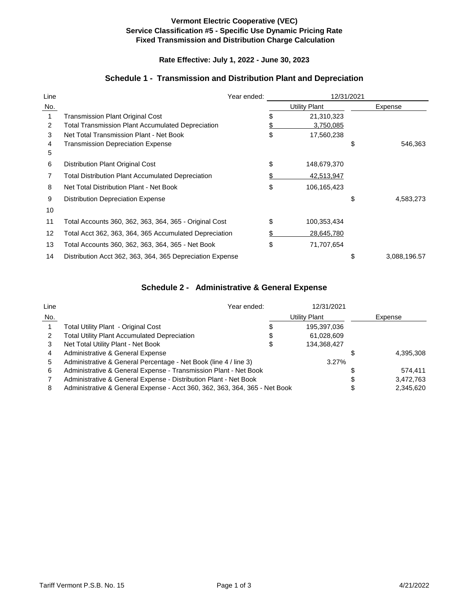### **Vermont Electric Cooperative (VEC) Service Classification #5 - Specific Use Dynamic Pricing Rate Fixed Transmission and Distribution Charge Calculation**

## **Rate Effective: July 1, 2022 - June 30, 2023**

## **Schedule 1 - Transmission and Distribution Plant and Depreciation**

| Line |                                                           | Year ended: | 12/31/2021 |                      |    |              |
|------|-----------------------------------------------------------|-------------|------------|----------------------|----|--------------|
| No.  |                                                           |             |            | <b>Utility Plant</b> |    | Expense      |
|      | Transmission Plant Original Cost                          |             |            | 21,310,323           |    |              |
| 2    | <b>Total Transmission Plant Accumulated Depreciation</b>  |             |            | 3,750,085            |    |              |
| 3    | Net Total Transmission Plant - Net Book                   | \$          |            | 17,560,238           |    |              |
| 4    | <b>Transmission Depreciation Expense</b>                  |             |            |                      | \$ | 546,363      |
| 5    |                                                           |             |            |                      |    |              |
| 6    | Distribution Plant Original Cost                          | \$          |            | 148,679,370          |    |              |
|      | <b>Total Distribution Plant Accumulated Depreciation</b>  |             |            | 42,513,947           |    |              |
| 8    | Net Total Distribution Plant - Net Book                   | \$          |            | 106,165,423          |    |              |
| 9    | <b>Distribution Depreciation Expense</b>                  |             |            |                      | \$ | 4,583,273    |
| 10   |                                                           |             |            |                      |    |              |
| 11   | Total Accounts 360, 362, 363, 364, 365 - Original Cost    | \$          |            | 100,353,434          |    |              |
| 12   | Total Acct 362, 363, 364, 365 Accumulated Depreciation    | \$          |            | 28,645,780           |    |              |
| 13   | Total Accounts 360, 362, 363, 364, 365 - Net Book         | \$          |            | 71,707,654           |    |              |
| 14   | Distribution Acct 362, 363, 364, 365 Depreciation Expense |             |            |                      | \$ | 3,088,196.57 |

### **Schedule 2 - Administrative & General Expense**

| Line | Year ended:                                                                |    | 12/31/2021    |   |           |
|------|----------------------------------------------------------------------------|----|---------------|---|-----------|
| No.  |                                                                            |    | Utility Plant |   | Expense   |
|      | Total Utility Plant - Original Cost                                        | S  | 195,397,036   |   |           |
|      | <b>Total Utility Plant Accumulated Depreciation</b>                        | \$ | 61,028,609    |   |           |
|      | Net Total Utility Plant - Net Book                                         | S  | 134,368,427   |   |           |
| 4    | Administrative & General Expense                                           |    |               |   | 4,395,308 |
| 5    | Administrative & General Percentage - Net Book (line 4 / line 3)           |    | 3.27%         |   |           |
| 6    | Administrative & General Expense - Transmission Plant - Net Book           |    |               | S | 574.411   |
|      | Administrative & General Expense - Distribution Plant - Net Book           |    |               | S | 3,472,763 |
| 8    | Administrative & General Expense - Acct 360, 362, 363, 364, 365 - Net Book |    |               |   | 2.345.620 |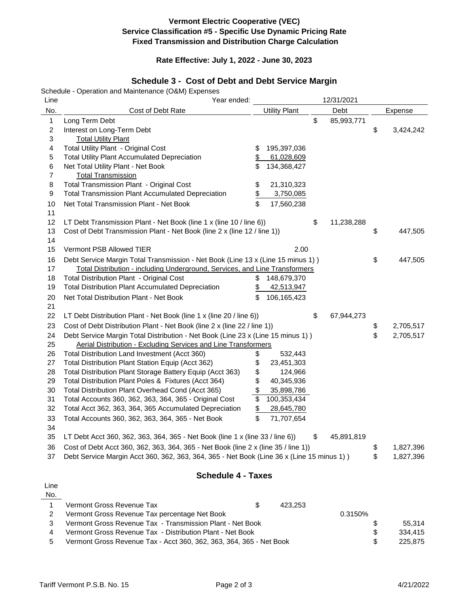## **Vermont Electric Cooperative (VEC) Service Classification #5 - Specific Use Dynamic Pricing Rate Fixed Transmission and Distribution Charge Calculation**

#### **Rate Effective: July 1, 2022 - June 30, 2023**

# **Schedule 3 - Cost of Debt and Debt Service Margin**

Schedule - Operation and Maintenance (O&M) Expenses

| Line             | Year ended:                                                                               |                      | 12/31/2021       |                 |
|------------------|-------------------------------------------------------------------------------------------|----------------------|------------------|-----------------|
| No.              | Cost of Debt Rate                                                                         | <b>Utility Plant</b> | Debt             | Expense         |
| 1                | Long Term Debt                                                                            |                      | \$<br>85,993,771 |                 |
| $\boldsymbol{2}$ | Interest on Long-Term Debt                                                                |                      |                  | \$<br>3,424,242 |
| 3                | <b>Total Utility Plant</b>                                                                |                      |                  |                 |
| 4                | Total Utility Plant - Original Cost                                                       | \$<br>195,397,036    |                  |                 |
| 5                | <b>Total Utility Plant Accumulated Depreciation</b>                                       | \$<br>61,028,609     |                  |                 |
| $\,6$            | Net Total Utility Plant - Net Book                                                        | \$<br>134,368,427    |                  |                 |
| 7                | <b>Total Transmission</b>                                                                 |                      |                  |                 |
| 8                | Total Transmission Plant - Original Cost                                                  | \$<br>21,310,323     |                  |                 |
| 9                | <b>Total Transmission Plant Accumulated Depreciation</b>                                  | \$<br>3,750,085      |                  |                 |
| 10               | Net Total Transmission Plant - Net Book                                                   | \$<br>17,560,238     |                  |                 |
| 11               |                                                                                           |                      |                  |                 |
| 12               | LT Debt Transmission Plant - Net Book (line 1 x (line 10 / line 6))                       |                      | \$<br>11,238,288 |                 |
| 13               | Cost of Debt Transmission Plant - Net Book (line 2 x (line 12 / line 1))                  |                      |                  | \$<br>447,505   |
| 14               |                                                                                           |                      |                  |                 |
| 15               | Vermont PSB Allowed TIER                                                                  | 2.00                 |                  |                 |
| 16               | Debt Service Margin Total Transmission - Net Book (Line 13 x (Line 15 minus 1))           |                      |                  | \$<br>447,505   |
| 17               | Total Distribution - including Underground, Services, and Line Transformers               |                      |                  |                 |
| 18               | <b>Total Distribution Plant - Original Cost</b>                                           | \$<br>148,679,370    |                  |                 |
| 19               | <b>Total Distribution Plant Accumulated Depreciation</b>                                  | \$<br>42,513,947     |                  |                 |
| 20               | Net Total Distribution Plant - Net Book                                                   | \$<br>106,165,423    |                  |                 |
| 21               |                                                                                           |                      |                  |                 |
| 22               | LT Debt Distribution Plant - Net Book (line 1 x (line 20 / line 6))                       |                      | \$<br>67,944,273 |                 |
| 23               | Cost of Debt Distribution Plant - Net Book (line 2 x (line 22 / line 1))                  |                      |                  | \$<br>2,705,517 |
| 24               | Debt Service Margin Total Distribution - Net Book (Line 23 x (Line 15 minus 1))           |                      |                  | \$<br>2,705,517 |
| 25               | Aerial Distribution - Excluding Services and Line Transformers                            |                      |                  |                 |
| 26               | Total Distribution Land Investment (Acct 360)                                             | \$<br>532,443        |                  |                 |
| 27               | Total Distribution Plant Station Equip (Acct 362)                                         | \$<br>23,451,303     |                  |                 |
| 28               | Total Distribution Plant Storage Battery Equip (Acct 363)                                 | \$<br>124,966        |                  |                 |
| 29               | Total Distribution Plant Poles & Fixtures (Acct 364)                                      | \$<br>40,345,936     |                  |                 |
| 30               | Total Distribution Plant Overhead Cond (Acct 365)                                         | \$<br>35,898,786     |                  |                 |
| 31               | Total Accounts 360, 362, 363, 364, 365 - Original Cost                                    | \$<br>100,353,434    |                  |                 |
| 32               | Total Acct 362, 363, 364, 365 Accumulated Depreciation                                    | \$<br>28,645,780     |                  |                 |
| 33               | Total Accounts 360, 362, 363, 364, 365 - Net Book                                         | \$<br>71,707,654     |                  |                 |
| 34               |                                                                                           |                      |                  |                 |
| 35               | LT Debt Acct 360, 362, 363, 364, 365 - Net Book (line 1 x (line 33 / line 6))             |                      | \$<br>45,891,819 |                 |
| 36               | Cost of Debt Acct 360, 362, 363, 364, 365 - Net Book (line 2 x (line 35 / line 1))        |                      |                  | \$<br>1,827,396 |
| 37               | Debt Service Margin Acct 360, 362, 363, 364, 365 - Net Book (Line 36 x (Line 15 minus 1)) |                      |                  | \$<br>1,827,396 |
|                  |                                                                                           |                      |                  |                 |
|                  | <b>Schedule 4 - Taxes</b>                                                                 |                      |                  |                 |
| Line             |                                                                                           |                      |                  |                 |
| No.              |                                                                                           |                      |                  |                 |
| 1                | Vermont Gross Revenue Tax                                                                 | \$<br>423,253        |                  |                 |
| $\overline{c}$   | Vermont Gross Revenue Tax percentage Net Book                                             |                      | 0.3150%          |                 |
| 3                | Vermont Gross Revenue Tax - Transmission Plant - Net Book                                 |                      |                  | \$<br>55,314    |

4 Vermont Gross Revenue Tax - Distribution Plant - Net Book \$ 334,415

5 Vermont Gross Revenue Tax - Acct 360, 362, 363, 364, 365 - Net Book \$ 225,875